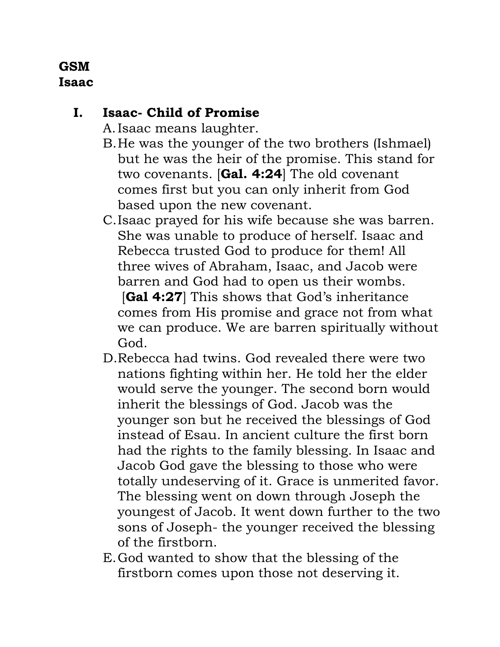## **GSM Isaac**

## **I. Isaac- Child of Promise**

A.Isaac means laughter.

- B.He was the younger of the two brothers (Ishmael) but he was the heir of the promise. This stand for two covenants. [**Gal. 4:24**] The old covenant comes first but you can only inherit from God based upon the new covenant.
- C.Isaac prayed for his wife because she was barren. She was unable to produce of herself. Isaac and Rebecca trusted God to produce for them! All three wives of Abraham, Isaac, and Jacob were barren and God had to open us their wombs. [**Gal 4:27**] This shows that God's inheritance comes from His promise and grace not from what we can produce. We are barren spiritually without God.
- D.Rebecca had twins. God revealed there were two nations fighting within her. He told her the elder would serve the younger. The second born would inherit the blessings of God. Jacob was the younger son but he received the blessings of God instead of Esau. In ancient culture the first born had the rights to the family blessing. In Isaac and Jacob God gave the blessing to those who were totally undeserving of it. Grace is unmerited favor. The blessing went on down through Joseph the youngest of Jacob. It went down further to the two sons of Joseph- the younger received the blessing of the firstborn.
- E.God wanted to show that the blessing of the firstborn comes upon those not deserving it.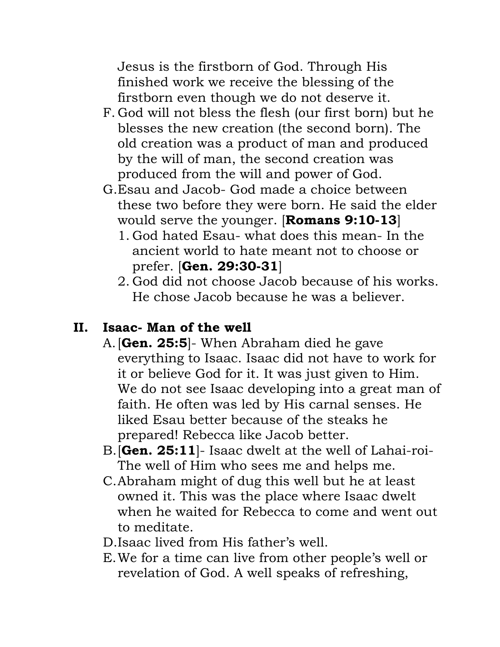Jesus is the firstborn of God. Through His finished work we receive the blessing of the firstborn even though we do not deserve it.

- F. God will not bless the flesh (our first born) but he blesses the new creation (the second born). The old creation was a product of man and produced by the will of man, the second creation was produced from the will and power of God.
- G.Esau and Jacob- God made a choice between these two before they were born. He said the elder would serve the younger. [**Romans 9:10-13**]
	- 1. God hated Esau- what does this mean- In the ancient world to hate meant not to choose or prefer. [**Gen. 29:30-31**]
	- 2. God did not choose Jacob because of his works. He chose Jacob because he was a believer.

## **II. Isaac- Man of the well**

- A.[**Gen. 25:5**]- When Abraham died he gave everything to Isaac. Isaac did not have to work for it or believe God for it. It was just given to Him. We do not see Isaac developing into a great man of faith. He often was led by His carnal senses. He liked Esau better because of the steaks he prepared! Rebecca like Jacob better.
- B.[**Gen. 25:11**]- Isaac dwelt at the well of Lahai-roi-The well of Him who sees me and helps me.
- C.Abraham might of dug this well but he at least owned it. This was the place where Isaac dwelt when he waited for Rebecca to come and went out to meditate.
- D.Isaac lived from His father's well.
- E.We for a time can live from other people's well or revelation of God. A well speaks of refreshing,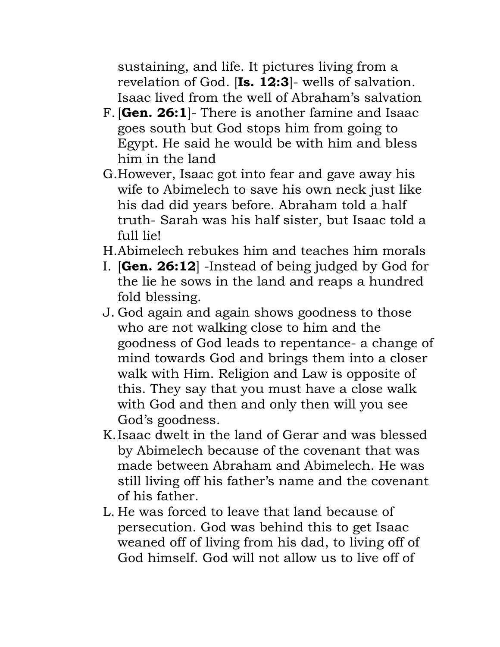sustaining, and life. It pictures living from a revelation of God. [**Is. 12:3**]- wells of salvation. Isaac lived from the well of Abraham's salvation

- F. [**Gen. 26:1**]- There is another famine and Isaac goes south but God stops him from going to Egypt. He said he would be with him and bless him in the land
- G.However, Isaac got into fear and gave away his wife to Abimelech to save his own neck just like his dad did years before. Abraham told a half truth- Sarah was his half sister, but Isaac told a full lie!
- H.Abimelech rebukes him and teaches him morals
- I. [**Gen. 26:12**] -Instead of being judged by God for the lie he sows in the land and reaps a hundred fold blessing.
- J. God again and again shows goodness to those who are not walking close to him and the goodness of God leads to repentance- a change of mind towards God and brings them into a closer walk with Him. Religion and Law is opposite of this. They say that you must have a close walk with God and then and only then will you see God's goodness.
- K.Isaac dwelt in the land of Gerar and was blessed by Abimelech because of the covenant that was made between Abraham and Abimelech. He was still living off his father's name and the covenant of his father.
- L. He was forced to leave that land because of persecution. God was behind this to get Isaac weaned off of living from his dad, to living off of God himself. God will not allow us to live off of